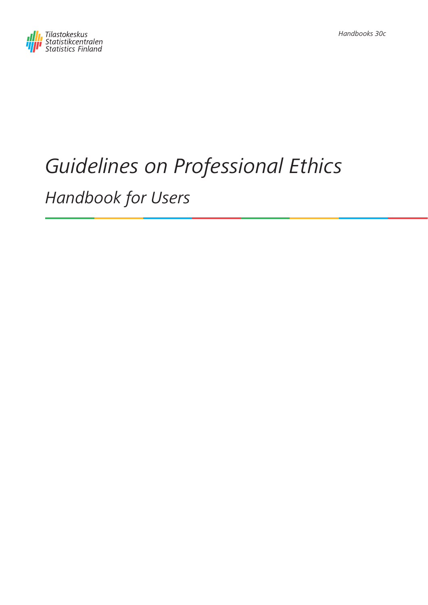

# Guidelines on Professional Ethics Handbook for Users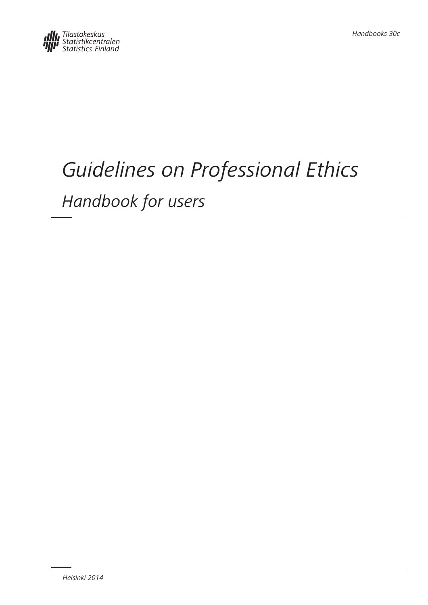# Guidelines on Professional Ethics

Handbook for users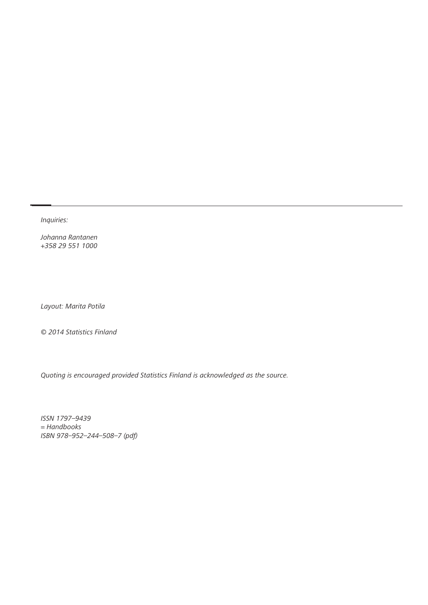Inquiries:

Johanna Rantanen +358 29 551 1000

Layout: Marita Potila

© 2014 Statistics Finland

Quoting is encouraged provided Statistics Finland is acknowledged as the source.

ISSN 1797–9439 = Handbooks ISBN 978–952–244–508–7 (pdf)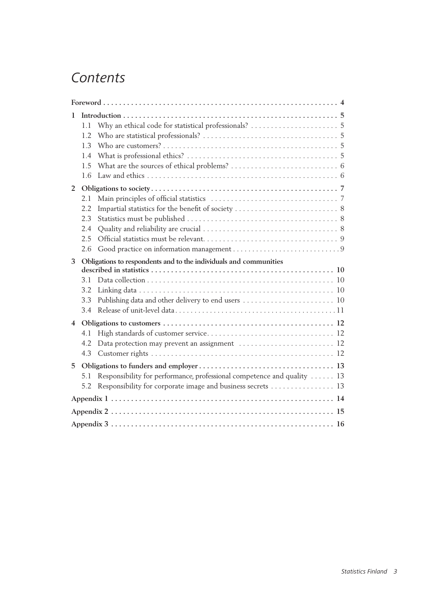## *Contents*

| 1                       | 1.1<br>1.2<br>1.3<br>1.4<br>1.5        |                                                                                                                                       |  |  |  |
|-------------------------|----------------------------------------|---------------------------------------------------------------------------------------------------------------------------------------|--|--|--|
| $\overline{2}$          | 1.6                                    |                                                                                                                                       |  |  |  |
|                         | 2.1<br>2.2<br>2.3<br>2.4<br>2.5<br>2.6 |                                                                                                                                       |  |  |  |
| 3                       | 3.1<br>3.2<br>3.3<br>3.4               | Obligations to respondents and to the individuals and communities<br>Publishing data and other delivery to end users  10              |  |  |  |
| $\overline{\mathbf{4}}$ | 4.1<br>4.2<br>4.3                      | Data protection may prevent an assignment  12                                                                                         |  |  |  |
| 5                       | 5.1<br>5.2                             | Responsibility for performance, professional competence and quality  13<br>Responsibility for corporate image and business secrets 13 |  |  |  |
|                         |                                        |                                                                                                                                       |  |  |  |
|                         |                                        |                                                                                                                                       |  |  |  |
|                         |                                        |                                                                                                                                       |  |  |  |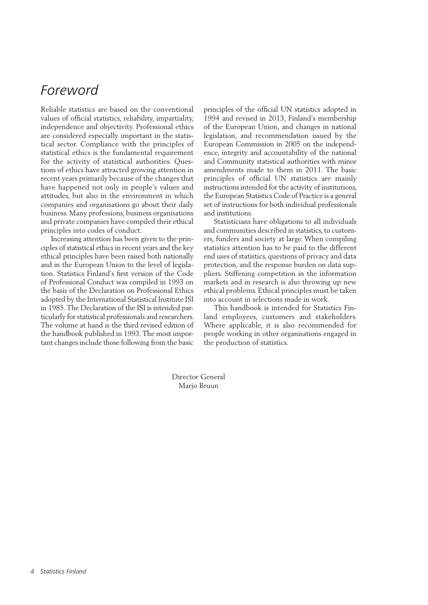## <span id="page-4-0"></span>*Foreword*

Reliable statistics are based on the conventional values of official statistics, reliability, impartiality, independence and objectivity. Professional ethics are considered especially important in the statistical sector. Compliance with the principles of statistical ethics is the fundamental requirement for the activity of statistical authorities. Questions of ethics have attracted growing attention in recent years primarily because of the changes that have happened not only in people's values and attitudes, but also in the environment in which companies and organisations go about their daily business. Many professions, business organisations and private companies have compiled their ethical principles into codes of conduct.

Increasing attention has been given to the principles of statistical ethics in recent years and the key ethical principles have been raised both nationally and in the European Union to the level of legislation. Statistics Finland's first version of the Code of Professional Conduct was compiled in 1993 on the basis of the Declaration on Professional Ethics adopted by the International Statistical Institute ISI in 1985. The Declaration of the ISI is intended particularly for statistical professionals and researchers. The volume at hand is the third revised edition of the handbook published in 1993. The most important changes include those following from the basic principles of the official UN statistics adopted in 1994 and revised in 2013, Finland's membership of the European Union, and changes in national legislation, and recommendation issued by the European Commission in 2005 on the independence, integrity and accountability of the national and Community statistical authorities with minor amendments made to them in 2011. The basic principles of official UN statistics are mainly instructions intended for the activity of institutions, the European Statistics Code of Practice is a general set of instructions for both individual professionals and institutions.

Statisticians have obligations to all individuals and communities described in statistics, to customers, funders and society at large. When compiling statistics attention has to be paid to the different end uses of statistics, questions of privacy and data protection, and the response burden on data suppliers. Stiffening competition in the information markets and in research is also throwing up new ethical problems. Ethical principles must be taken into account in selections made in work.

This handbook is intended for Statistics Finland employees, customers and stakeholders. Where applicable, it is also recommended for people working in other organisations engaged in the production of statistics.

Director General Marjo Bruun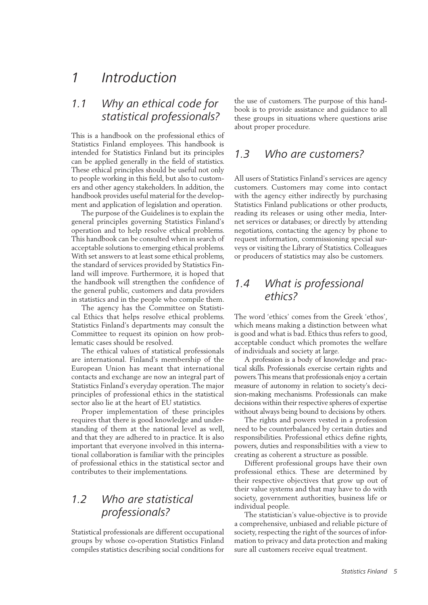## <span id="page-5-0"></span>*1 Introduction*

## *1.1 Why an ethical code for statistical professionals?*

This is a handbook on the professional ethics of Statistics Finland employees. This handbook is intended for Statistics Finland but its principles can be applied generally in the field of statistics. These ethical principles should be useful not only to people working in this field, but also to customers and other agency stakeholders. In addition, the handbook provides useful material for the development and application of legislation and operation.

The purpose of the Guidelines is to explain the general principles governing Statistics Finland's operation and to help resolve ethical problems. This handbook can be consulted when in search of acceptable solutions to emerging ethical problems. With set answers to at least some ethical problems, the standard of services provided by Statistics Finland will improve. Furthermore, it is hoped that the handbook will strengthen the confidence of the general public, customers and data providers in statistics and in the people who compile them.

The agency has the Committee on Statistical Ethics that helps resolve ethical problems. Statistics Finland's departments may consult the Committee to request its opinion on how problematic cases should be resolved.

The ethical values of statistical professionals are international. Finland's membership of the European Union has meant that international contacts and exchange are now an integral part of Statistics Finland's everyday operation. The major principles of professional ethics in the statistical sector also lie at the heart of EU statistics.

Proper implementation of these principles requires that there is good knowledge and understanding of them at the national level as well, and that they are adhered to in practice. It is also important that everyone involved in this international collaboration is familiar with the principles of professional ethics in the statistical sector and contributes to their implementations.

## *1.2 Who are statistical professionals?*

Statistical professionals are different occupational groups by whose co-operation Statistics Finland compiles statistics describing social conditions for the use of customers. The purpose of this handbook is to provide assistance and guidance to all these groups in situations where questions arise about proper procedure.

#### *1.3 Who are customers?*

All users of Statistics Finland's services are agency customers. Customers may come into contact with the agency either indirectly by purchasing Statistics Finland publications or other products, reading its releases or using other media, Internet services or databases; or directly by attending negotiations, contacting the agency by phone to request information, commissioning special surveys or visiting the Library of Statistics. Colleagues or producers of statistics may also be customers.

### *1.4 What is professional ethics?*

The word 'ethics' comes from the Greek 'ethos', which means making a distinction between what is good and what is bad. Ethics thus refers to good, acceptable conduct which promotes the welfare of individuals and society at large.

A profession is a body of knowledge and practical skills. Professionals exercise certain rights and powers. This means that professionals enjoy a certain measure of autonomy in relation to society's decision-making mechanisms. Professionals can make decisions within their respective spheres of expertise without always being bound to decisions by others.

The rights and powers vested in a profession need to be counterbalanced by certain duties and responsibilities. Professional ethics define rights, powers, duties and responsibilities with a view to creating as coherent a structure as possible.

Different professional groups have their own professional ethics. These are determined by their respective objectives that grow up out of their value systems and that may have to do with society, government authorities, business life or individual people.

The statistician's value-objective is to provide a comprehensive, unbiased and reliable picture of society, respecting the right of the sources of information to privacy and data protection and making sure all customers receive equal treatment.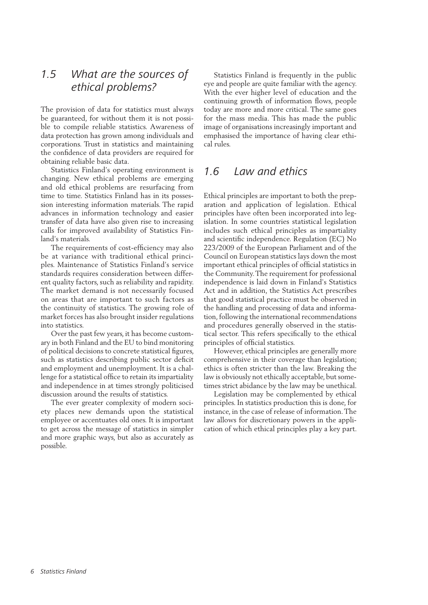### <span id="page-6-0"></span>*1.5 What are the sources of ethical problems?*

The provision of data for statistics must always be guaranteed, for without them it is not possible to compile reliable statistics. Awareness of data protection has grown among individuals and corporations. Trust in statistics and maintaining the confidence of data providers are required for obtaining reliable basic data.

Statistics Finland's operating environment is changing. New ethical problems are emerging and old ethical problems are resurfacing from time to time. Statistics Finland has in its possession interesting information materials. The rapid advances in information technology and easier transfer of data have also given rise to increasing calls for improved availability of Statistics Finland's materials.

The requirements of cost-efficiency may also be at variance with traditional ethical principles. Maintenance of Statistics Finland's service standards requires consideration between different quality factors, such as reliability and rapidity. The market demand is not necessarily focused on areas that are important to such factors as the continuity of statistics. The growing role of market forces has also brought insider regulations into statistics.

Over the past few years, it has become customary in both Finland and the EU to bind monitoring of political decisions to concrete statistical figures, such as statistics describing public sector deficit and employment and unemployment. It is a challenge for a statistical office to retain its impartiality and independence in at times strongly politicised discussion around the results of statistics.

The ever greater complexity of modern society places new demands upon the statistical employee or accentuates old ones. It is important to get across the message of statistics in simpler and more graphic ways, but also as accurately as possible.

Statistics Finland is frequently in the public eye and people are quite familiar with the agency. With the ever higher level of education and the continuing growth of information flows, people today are more and more critical. The same goes for the mass media. This has made the public image of organisations increasingly important and emphasised the importance of having clear ethical rules.

#### *1.6 Law and ethics*

Ethical principles are important to both the preparation and application of legislation. Ethical principles have often been incorporated into legislation. In some countries statistical legislation includes such ethical principles as impartiality and scientific independence. Regulation (EC) No 223/2009 of the European Parliament and of the Council on European statistics lays down the most important ethical principles of official statistics in the Community. The requirement for professional independence is laid down in Finland's Statistics Act and in addition, the Statistics Act prescribes that good statistical practice must be observed in the handling and processing of data and information, following the international recommendations and procedures generally observed in the statistical sector. This refers specifically to the ethical principles of official statistics.

However, ethical principles are generally more comprehensive in their coverage than legislation; ethics is often stricter than the law. Breaking the law is obviously not ethically acceptable, but sometimes strict abidance by the law may be unethical.

Legislation may be complemented by ethical principles. In statistics production this is done, for instance, in the case of release of information. The law allows for discretionary powers in the application of which ethical principles play a key part.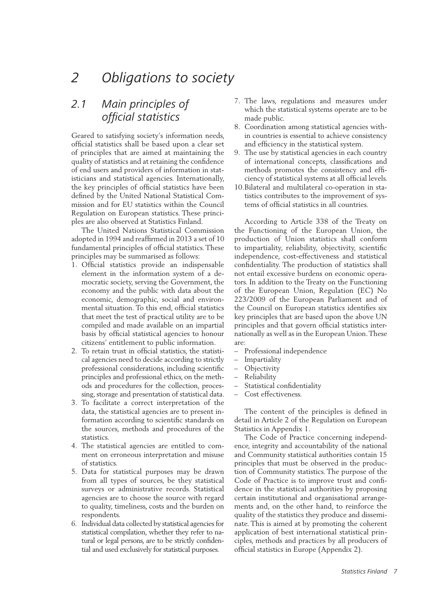## <span id="page-7-0"></span>*2 Obligations to society*

## *2.1 Main principles of official statistics*

Geared to satisfying society's information needs, official statistics shall be based upon a clear set of principles that are aimed at maintaining the quality of statistics and at retaining the confidence of end users and providers of information in statisticians and statistical agencies. Internationally, the key principles of official statistics have been defined by the United National Statistical Commission and for EU statistics within the Council Regulation on European statistics. These principles are also observed at Statistics Finland.

The United Nations Statistical Commission adopted in 1994 and reaffirmed in 2013 a set of 10 fundamental principles of official statistics. These principles may be summarised as follows:

- 1. Official statistics provide an indispensable element in the information system of a democratic society, serving the Government, the economy and the public with data about the economic, demographic, social and environmental situation. To this end, official statistics that meet the test of practical utility are to be compiled and made available on an impartial basis by official statistical agencies to honour citizens' entitlement to public information.
- 2. To retain trust in official statistics, the statistical agencies need to decide according to strictly professional considerations, including scientific principles and professional ethics, on the methods and procedures for the collection, processing, storage and presentation of statistical data.
- 3. To facilitate a correct interpretation of the data, the statistical agencies are to present information according to scientific standards on the sources, methods and procedures of the statistics.
- 4. The statistical agencies are entitled to comment on erroneous interpretation and misuse of statistics.
- 5. Data for statistical purposes may be drawn from all types of sources, be they statistical surveys or administrative records. Statistical agencies are to choose the source with regard to quality, timeliness, costs and the burden on respondents.
- 6. Individual data collected by statistical agencies for statistical compilation, whether they refer to natural or legal persons, are to be strictly confidential and used exclusively for statistical purposes.
- 7. The laws, regulations and measures under which the statistical systems operate are to be made public.
- 8. Coordination among statistical agencies within countries is essential to achieve consistency and efficiency in the statistical system.
- 9. The use by statistical agencies in each country of international concepts, classifications and methods promotes the consistency and efficiency of statistical systems at all official levels.
- 10.Bilateral and multilateral co-operation in statistics contributes to the improvement of systems of official statistics in all countries.

According to Article 338 of the Treaty on the Functioning of the European Union, the production of Union statistics shall conform to impartiality, reliability, objectivity, scientific independence, cost-effectiveness and statistical confidentiality. The production of statistics shall not entail excessive burdens on economic operators. In addition to the Treaty on the Functioning of the European Union, Regulation (EC) No 223/2009 of the European Parliament and of the Council on European statistics identifies six key principles that are based upon the above UN principles and that govern official statistics internationally as well as in the European Union. These are:

- Professional independence
- Impartiality
- Objectivity
- Reliability
- Statistical confidentiality
- Cost effectiveness.

The content of the principles is defined in detail in Article 2 of the Regulation on European Statistics in Appendix 1.

The Code of Practice concerning independence, integrity and accountability of the national and Community statistical authorities contain 15 principles that must be observed in the production of Community statistics. The purpose of the Code of Practice is to improve trust and confidence in the statistical authorities by proposing certain institutional and organisational arrangements and, on the other hand, to reinforce the quality of the statistics they produce and disseminate. This is aimed at by promoting the coherent application of best international statistical principles, methods and practices by all producers of official statistics in Europe (Appendix 2).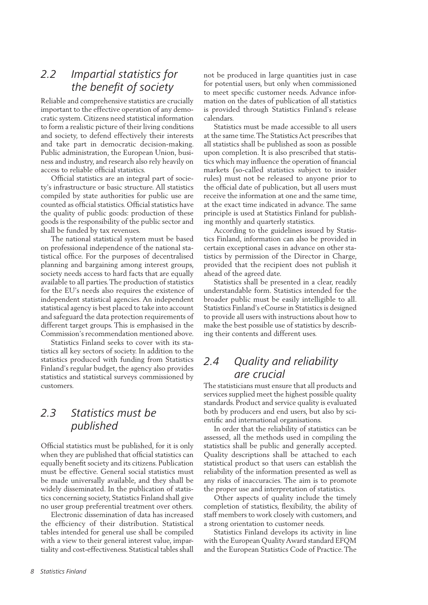### <span id="page-8-0"></span>*2.2 Impartial statistics for the benefit of society*

Reliable and comprehensive statistics are crucially important to the effective operation of any democratic system. Citizens need statistical information to form a realistic picture of their living conditions and society, to defend effectively their interests and take part in democratic decision-making. Public administration, the European Union, business and industry, and research also rely heavily on access to reliable official statistics.

Official statistics are an integral part of society's infrastructure or basic structure. All statistics compiled by state authorities for public use are counted as official statistics. Official statistics have the quality of public goods: production of these goods is the responsibility of the public sector and shall be funded by tax revenues.

The national statistical system must be based on professional independence of the national statistical office. For the purposes of decentralised planning and bargaining among interest groups, society needs access to hard facts that are equally available to all parties. The production of statistics for the EU's needs also requires the existence of independent statistical agencies. An independent statistical agency is best placed to take into account and safeguard the data protection requirements of different target groups. This is emphasised in the Commission's recommendation mentioned above.

Statistics Finland seeks to cover with its statistics all key sectors of society. In addition to the statistics produced with funding from Statistics Finland's regular budget, the agency also provides statistics and statistical surveys commissioned by customers.

### *2.3 Statistics must be published*

Official statistics must be published, for it is only when they are published that official statistics can equally benefit society and its citizens. Publication must be effective. General social statistics must be made universally available, and they shall be widely disseminated. In the publication of statistics concerning society, Statistics Finland shall give no user group preferential treatment over others.

Electronic dissemination of data has increased the efficiency of their distribution. Statistical tables intended for general use shall be compiled with a view to their general interest value, impartiality and cost-effectiveness. Statistical tables shall not be produced in large quantities just in case for potential users, but only when commissioned to meet specific customer needs. Advance information on the dates of publication of all statistics is provided through Statistics Finland's release calendars.

Statistics must be made accessible to all users at the same time. The Statistics Act prescribes that all statistics shall be published as soon as possible upon completion. It is also prescribed that statistics which may influence the operation of financial markets (so-called statistics subject to insider rules) must not be released to anyone prior to the official date of publication, but all users must receive the information at one and the same time, at the exact time indicated in advance. The same principle is used at Statistics Finland for publishing monthly and quarterly statistics.

According to the guidelines issued by Statistics Finland, information can also be provided in certain exceptional cases in advance on other statistics by permission of the Director in Charge, provided that the recipient does not publish it ahead of the agreed date.

Statistics shall be presented in a clear, readily understandable form. Statistics intended for the broader public must be easily intelligible to all. Statistics Finland's eCourse in Statistics is designed to provide all users with instructions about how to make the best possible use of statistics by describing their contents and different uses.

### *2.4 Quality and reliability are crucial*

The statisticians must ensure that all products and services supplied meet the highest possible quality standards. Product and service quality is evaluated both by producers and end users, but also by scientific and international organisations.

In order that the reliability of statistics can be assessed, all the methods used in compiling the statistics shall be public and generally accepted. Quality descriptions shall be attached to each statistical product so that users can establish the reliability of the information presented as well as any risks of inaccuracies. The aim is to promote the proper use and interpretation of statistics.

Other aspects of quality include the timely completion of statistics, flexibility, the ability of staff members to work closely with customers, and a strong orientation to customer needs.

Statistics Finland develops its activity in line with the European Quality Award standard EFQM and the European Statistics Code of Practice. The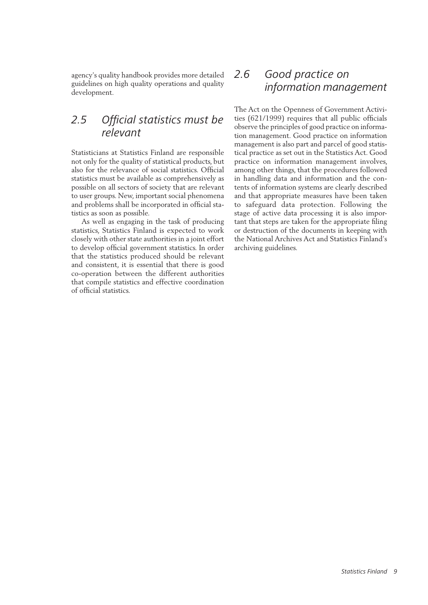<span id="page-9-0"></span>agency's quality handbook provides more detailed guidelines on high quality operations and quality development.

## *2.5 Official statistics must be relevant*

Statisticians at Statistics Finland are responsible not only for the quality of statistical products, but also for the relevance of social statistics. Official statistics must be available as comprehensively as possible on all sectors of society that are relevant to user groups. New, important social phenomena and problems shall be incorporated in official statistics as soon as possible.

As well as engaging in the task of producing statistics, Statistics Finland is expected to work closely with other state authorities in a joint effort to develop official government statistics. In order that the statistics produced should be relevant and consistent, it is essential that there is good co-operation between the different authorities that compile statistics and effective coordination of official statistics.

#### *2.6 Good practice on information management*

The Act on the Openness of Government Activities (621/1999) requires that all public officials observe the principles of good practice on information management. Good practice on information management is also part and parcel of good statistical practice as set out in the Statistics Act. Good practice on information management involves, among other things, that the procedures followed in handling data and information and the contents of information systems are clearly described and that appropriate measures have been taken to safeguard data protection. Following the stage of active data processing it is also important that steps are taken for the appropriate filing or destruction of the documents in keeping with the National Archives Act and Statistics Finland's archiving guidelines.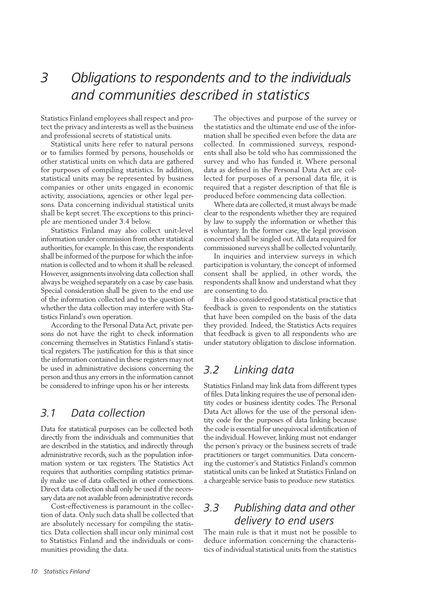## <span id="page-10-0"></span>*3 Obligations to respondents and to the individuals and communities described in statistics*

Statistics Finland employees shall respect and protect the privacy and interests as well as the business and professional secrets of statistical units.

Statistical units here refer to natural persons or to families formed by persons, households or other statistical units on which data are gathered for purposes of compiling statistics. In addition, statistical units may be represented by business companies or other units engaged in economic activity, associations, agencies or other legal persons. Data concerning individual statistical units shall be kept secret. The exceptions to this principle are mentioned under 3.4 below.

Statistics Finland may also collect unit-level information under commission from other statistical authorities, for example. In this case, the respondents shall be informed of the purpose for which the information is collected and to whom it shall be released. However, assignments involving data collection shall always be weighed separately on a case by case basis. Special consideration shall be given to the end use of the information collected and to the question of whether the data collection may interfere with Statistics Finland's own operation.

According to the Personal Data Act, private persons do not have the right to check information concerning themselves in Statistics Finland's statistical registers. The justification for this is that since the information contained in these registers may not be used in administrative decisions concerning the person and thus any errors in the information cannot be considered to infringe upon his or her interests.

#### *3.1 Data collection*

Data for statistical purposes can be collected both directly from the individuals and communities that are described in the statistics, and indirectly through administrative records, such as the population information system or tax registers. The Statistics Act requires that authorities compiling statistics primarily make use of data collected in other connections. Direct data collection shall only be used if the necessary data are not available from administrative records.

Cost-effectiveness is paramount in the collection of data. Only such data shall be collected that are absolutely necessary for compiling the statistics. Data collection shall incur only minimal cost to Statistics Finland and the individuals or communities providing the data.

The objectives and purpose of the survey or the statistics and the ultimate end use of the information shall be specified even before the data are collected. In commissioned surveys, respondents shall also be told who has commissioned the survey and who has funded it. Where personal data as defined in the Personal Data Act are collected for purposes of a personal data file, it is required that a register description of that file is produced before commencing data collection.

Where data are collected, it must always be made clear to the respondents whether they are required by law to supply the information or whether this is voluntary. In the former case, the legal provision concerned shall be singled out. All data required for commissioned surveys shall be collected voluntarily.

In inquiries and interview surveys in which participation is voluntary, the concept of informed consent shall be applied, in other words, the respondents shall know and understand what they are consenting to do.

It is also considered good statistical practice that feedback is given to respondents on the statistics that have been compiled on the basis of the data they provided. Indeed, the Statistics Acts requires that feedback is given to all respondents who are under statutory obligation to disclose information.

### *3.2 Linking data*

Statistics Finland may link data from different types of files. Data linking requires the use of personal identity codes or business identity codes. The Personal Data Act allows for the use of the personal identity code for the purposes of data linking because the code is essential for unequivocal identification of the individual. However, linking must not endanger the person's privacy or the business secrets of trade practitioners or target communities. Data concerning the customer's and Statistics Finland's common statistical units can be linked at Statistics Finland on a chargeable service basis to produce new statistics.

## *3.3 Publishing data and other delivery to end users*

The main rule is that it must not be possible to deduce information concerning the characteristics of individual statistical units from the statistics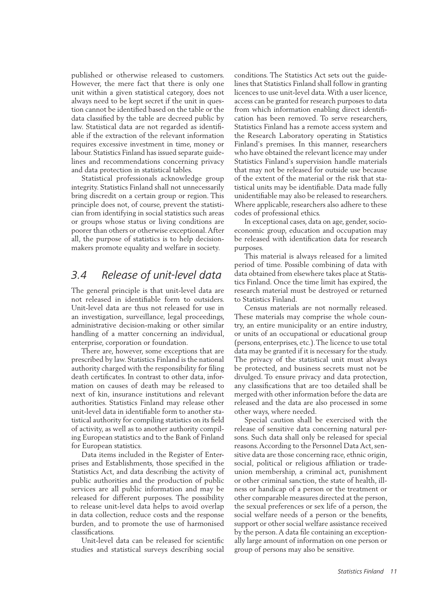<span id="page-11-0"></span>published or otherwise released to customers. However, the mere fact that there is only one unit within a given statistical category, does not always need to be kept secret if the unit in question cannot be identified based on the table or the data classified by the table are decreed public by law. Statistical data are not regarded as identifiable if the extraction of the relevant information requires excessive investment in time, money or labour. Statistics Finland has issued separate guidelines and recommendations concerning privacy and data protection in statistical tables.

Statistical professionals acknowledge group integrity. Statistics Finland shall not unnecessarily bring discredit on a certain group or region. This principle does not, of course, prevent the statistician from identifying in social statistics such areas or groups whose status or living conditions are poorer than others or otherwise exceptional. After all, the purpose of statistics is to help decisionmakers promote equality and welfare in society.

#### *3.4 Release of unit-level data*

The general principle is that unit-level data are not released in identifiable form to outsiders. Unit-level data are thus not released for use in an investigation, surveillance, legal proceedings, administrative decision-making or other similar handling of a matter concerning an individual, enterprise, corporation or foundation.

There are, however, some exceptions that are prescribed by law. Statistics Finland is the national authority charged with the responsibility for filing death certificates. In contrast to other data, information on causes of death may be released to next of kin, insurance institutions and relevant authorities. Statistics Finland may release other unit-level data in identifiable form to another statistical authority for compiling statistics on its field of activity, as well as to another authority compiling European statistics and to the Bank of Finland for European statistics.

Data items included in the Register of Enterprises and Establishments, those specified in the Statistics Act, and data describing the activity of public authorities and the production of public services are all public information and may be released for different purposes. The possibility to release unit-level data helps to avoid overlap in data collection, reduce costs and the response burden, and to promote the use of harmonised classifications.

Unit-level data can be released for scientific studies and statistical surveys describing social conditions. The Statistics Act sets out the guidelines that Statistics Finland shall follow in granting licences to use unit-level data. With a user licence, access can be granted for research purposes to data from which information enabling direct identification has been removed. To serve researchers, Statistics Finland has a remote access system and the Research Laboratory operating in Statistics Finland's premises. In this manner, researchers who have obtained the relevant licence may under Statistics Finland's supervision handle materials that may not be released for outside use because of the extent of the material or the risk that statistical units may be identifiable. Data made fully unidentifiable may also be released to researchers. Where applicable, researchers also adhere to these codes of professional ethics.

In exceptional cases, data on age, gender, socioeconomic group, education and occupation may be released with identification data for research purposes.

This material is always released for a limited period of time. Possible combining of data with data obtained from elsewhere takes place at Statistics Finland. Once the time limit has expired, the research material must be destroyed or returned to Statistics Finland.

Census materials are not normally released. These materials may comprise the whole country, an entire municipality or an entire industry, or units of an occupational or educational group (persons, enterprises, etc.). The licence to use total data may be granted if it is necessary for the study. The privacy of the statistical unit must always be protected, and business secrets must not be divulged. To ensure privacy and data protection, any classifications that are too detailed shall be merged with other information before the data are released and the data are also processed in some other ways, where needed.

Special caution shall be exercised with the release of sensitive data concerning natural persons. Such data shall only be released for special reasons. According to the Personnel Data Act, sensitive data are those concerning race, ethnic origin, social, political or religious affiliation or tradeunion membership, a criminal act, punishment or other criminal sanction, the state of health, illness or handicap of a person or the treatment or other comparable measures directed at the person, the sexual preferences or sex life of a person, the social welfare needs of a person or the benefits, support or other social welfare assistance received by the person. A data file containing an exceptionally large amount of information on one person or group of persons may also be sensitive.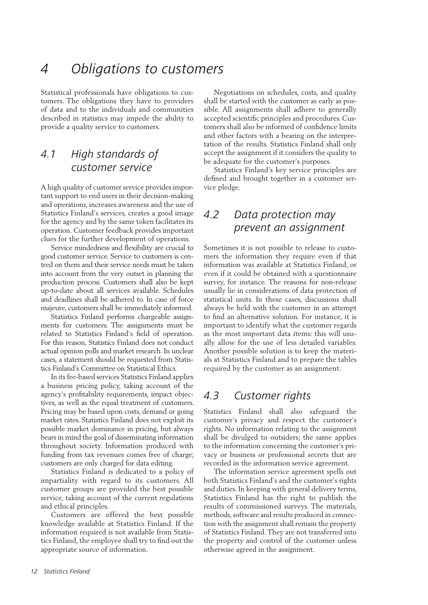## <span id="page-12-0"></span>*4 Obligations to customers*

Statistical professionals have obligations to customers. The obligations they have to providers of data and to the individuals and communities described in statistics may impede the ability to provide a quality service to customers.

### *4.1 High standards of customer service*

A high quality of customer service provides important support to end users in their decision-making and operations, increases awareness and the use of Statistics Finland's services, creates a good image for the agency and by the same token facilitates its operation. Customer feedback provides important clues for the further development of operations.

Service mindedness and flexibility are crucial to good customer service. Service to customers is centred on them and their service needs must be taken into account from the very outset in planning the production process. Customers shall also be kept up-to-date about all services available. Schedules and deadlines shall be adhered to. In case of force majeure, customers shall be immediately informed.

Statistics Finland performs chargeable assignments for customers. The assignments must be related to Statistics Finland's field of operation. For this reason, Statistics Finland does not conduct actual opinion polls and market research. In unclear cases, a statement should be requested from Statistics Finland's Committee on Statistical Ethics.

In its fee-based services Statistics Finland applies a business pricing policy, taking account of the agency's profitability requirements, impact objectives, as well as the equal treatment of customers. Pricing may be based upon costs, demand or going market rates. Statistics Finland does not exploit its possible market dominance in pricing, but always bears in mind the goal of disseminating information throughout society. Information produced with funding from tax revenues comes free of charge; customers are only charged for data editing.

Statistics Finland is dedicated to a policy of impartiality with regard to its customers. All customer groups are provided the best possible service, taking account of the current regulations and ethical principles.

Customers are offered the best possible knowledge available at Statistics Finland. If the information required is not available from Statistics Finland, the employee shall try to find out the appropriate source of information.

Negotiations on schedules, costs, and quality shall be started with the customer as early as possible. All assignments shall adhere to generally accepted scientific principles and procedures. Customers shall also be informed of confidence limits and other factors with a bearing on the interpretation of the results. Statistics Finland shall only accept the assignment if it considers the quality to be adequate for the customer's purposes.

Statistics Finland's key service principles are defined and brought together in a customer service pledge.

## *4.2 Data protection may prevent an assignment*

Sometimes it is not possible to release to customers the information they require even if that information was available at Statistics Finland, or even if it could be obtained with a questionnaire survey, for instance. The reasons for non-release usually lie in considerations of data protection of statistical units. In these cases, discussions shall always be held with the customer in an attempt to find an alternative solution. For instance, it is important to identify what the customer regards as the most important data items: this will usually allow for the use of less detailed variables. Another possible solution is to keep the materials at Statistics Finland and to prepare the tables required by the customer as an assignment.

#### *4.3 Customer rights*

Statistics Finland shall also safeguard the customer's privacy and respect the customer's rights. No information relating to the assignment shall be divulged to outsiders; the same applies to the information concerning the customer's privacy or business or professional secrets that are recorded in the information service agreement.

The information service agreement spells out both Statistics Finland's and the customer's rights and duties. In keeping with general delivery terms, Statistics Finland has the right to publish the results of commissioned surveys. The materials, methods, software and results produced in connection with the assignment shall remain the property of Statistics Finland. They are not transferred into the property and control of the customer unless otherwise agreed in the assignment.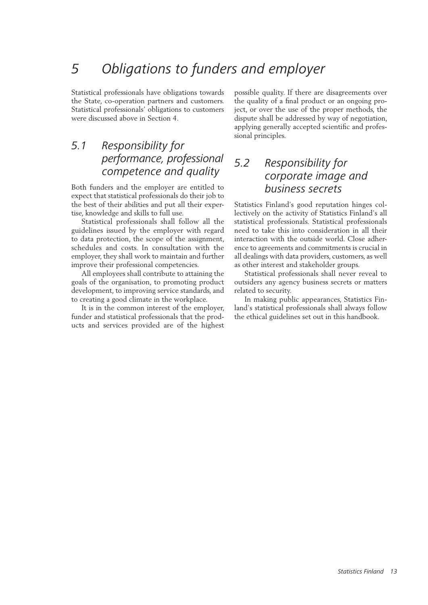## <span id="page-13-0"></span>*5 Obligations to funders and employer*

Statistical professionals have obligations towards the State, co-operation partners and customers. Statistical professionals' obligations to customers were discussed above in Section 4.

### *5.1 Responsibility for performance, professional competence and quality*

Both funders and the employer are entitled to expect that statistical professionals do their job to the best of their abilities and put all their expertise, knowledge and skills to full use.

Statistical professionals shall follow all the guidelines issued by the employer with regard to data protection, the scope of the assignment, schedules and costs. In consultation with the employer, they shall work to maintain and further improve their professional competencies.

All employees shall contribute to attaining the goals of the organisation, to promoting product development, to improving service standards, and to creating a good climate in the workplace.

It is in the common interest of the employer, funder and statistical professionals that the products and services provided are of the highest possible quality. If there are disagreements over the quality of a final product or an ongoing project, or over the use of the proper methods, the dispute shall be addressed by way of negotiation, applying generally accepted scientific and professional principles.

#### *5.2 Responsibility for corporate image and business secrets*

Statistics Finland's good reputation hinges collectively on the activity of Statistics Finland's all statistical professionals. Statistical professionals need to take this into consideration in all their interaction with the outside world. Close adherence to agreements and commitments is crucial in all dealings with data providers, customers, as well as other interest and stakeholder groups.

Statistical professionals shall never reveal to outsiders any agency business secrets or matters related to security.

In making public appearances, Statistics Finland's statistical professionals shall always follow the ethical guidelines set out in this handbook.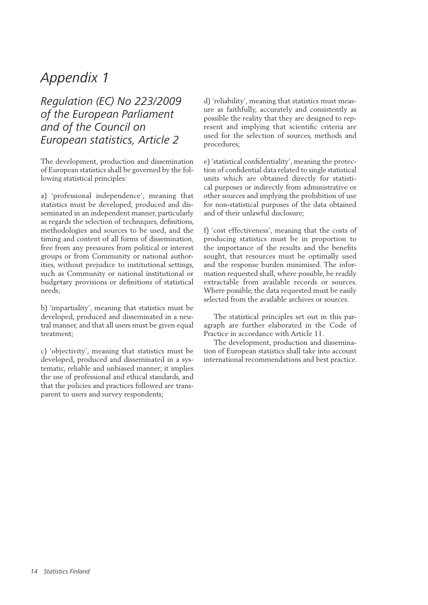## <span id="page-14-0"></span>*Appendix 1*

### *Regulation (EC) No 223/2009 of the European Parliament and of the Council on European statistics, Article 2*

The development, production and dissemination of European statistics shall be governed by the following statistical principles:

a) 'professional independence', meaning that statistics must be developed, produced and disseminated in an independent manner, particularly as regards the selection of techniques, definitions, methodologies and sources to be used, and the timing and content of all forms of dissemination, free from any pressures from political or interest groups or from Community or national authorities, without prejudice to institutional settings, such as Community or national institutional or budgetary provisions or definitions of statistical needs;

b) 'impartiality', meaning that statistics must be developed, produced and disseminated in a neutral manner, and that all users must be given equal treatment;

c) 'objectivity', meaning that statistics must be developed, produced and disseminated in a systematic, reliable and unbiased manner; it implies the use of professional and ethical standards, and that the policies and practices followed are transparent to users and survey respondents;

d) 'reliability', meaning that statistics must measure as faithfully, accurately and consistently as possible the reality that they are designed to represent and implying that scientific criteria are used for the selection of sources, methods and procedures;

e) 'statistical confidentiality', meaning the protection of confidential data related to single statistical units which are obtained directly for statistical purposes or indirectly from administrative or other sources and implying the prohibition of use for non-statistical purposes of the data obtained and of their unlawful disclosure;

f) 'cost effectiveness', meaning that the costs of producing statistics must be in proportion to the importance of the results and the benefits sought, that resources must be optimally used and the response burden minimised. The information requested shall, where possible, be readily extractable from available records or sources. Where possible, the data requested must be easily selected from the available archives or sources.

The statistical principles set out in this paragraph are further elaborated in the Code of Practice in accordance with Article 11.

The development, production and dissemination of European statistics shall take into account international recommendations and best practice.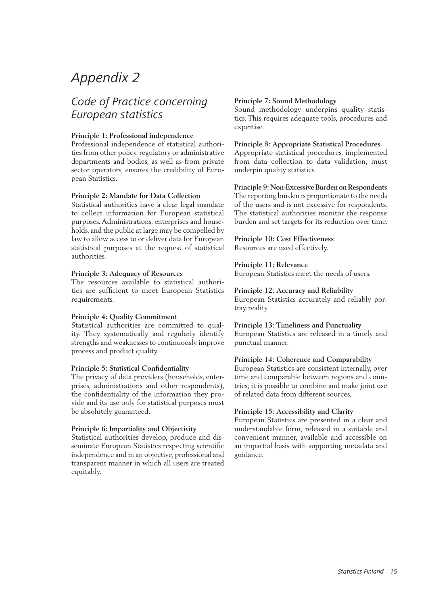## <span id="page-15-0"></span>*Appendix 2*

## *Code of Practice concerning European statistics*

#### **Principle 1: Professional independence**

Professional independence of statistical authorities from other policy, regulatory or administrative departments and bodies, as well as from private sector operators, ensures the credibility of European Statistics.

#### **Principle 2: Mandate for Data Collection**

Statistical authorities have a clear legal mandate to collect information for European statistical purposes. Administrations, enterprises and households, and the public at large may be compelled by law to allow access to or deliver data for European statistical purposes at the request of statistical authorities.

#### **Principle 3: Adequacy of Resources**

The resources available to statistical authorities are sufficient to meet European Statistics requirements.

#### **Principle 4: Quality Commitment**

Statistical authorities are committed to quality. They systematically and regularly identify strengths and weaknesses to continuously improve process and product quality.

#### **Principle 5: Statistical Confidentiality**

The privacy of data providers (households, enterprises, administrations and other respondents), the confidentiality of the information they provide and its use only for statistical purposes must be absolutely guaranteed.

#### **Principle 6: Impartiality and Objectivity**

Statistical authorities develop, produce and disseminate European Statistics respecting scientific independence and in an objective, professional and transparent manner in which all users are treated equitably.

#### **Principle 7: Sound Methodology**

Sound methodology underpins quality statistics. This requires adequate tools, procedures and expertise.

#### **Principle 8: Appropriate Statistical Procedures**

Appropriate statistical procedures, implemented from data collection to data validation, must underpin quality statistics.

#### **Principle 9: Non-Excessive Burden on Respondents**

The reporting burden is proportionate to the needs of the users and is not excessive for respondents. The statistical authorities monitor the response burden and set targets for its reduction over time.

#### **Principle 10: Cost Effectiveness**

Resources are used effectively.

#### **Principle 11: Relevance**

European Statistics meet the needs of users.

#### **Principle 12: Accuracy and Reliability**

European Statistics accurately and reliably portray reality.

#### **Principle 13: Timeliness and Punctuality**

European Statistics are released in a timely and punctual manner.

#### **Principle 14: Coherence and Comparability**

European Statistics are consistent internally, over time and comparable between regions and countries; it is possible to combine and make joint use of related data from different sources.

#### **Principle 15: Accessibility and Clarity**

European Statistics are presented in a clear and understandable form, released in a suitable and convenient manner, available and accessible on an impartial basis with supporting metadata and guidance.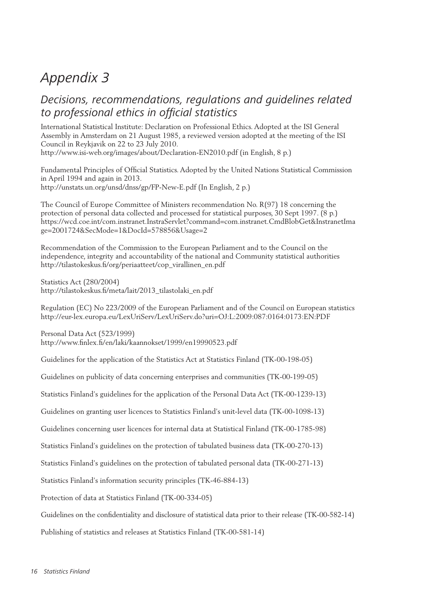## <span id="page-16-0"></span>*Appendix 3*

### *Decisions, recommendations, regulations and guidelines related to professional ethics in official statistics*

International Statistical Institute: Declaration on Professional Ethics. Adopted at the ISI General Assembly in Amsterdam on 21 August 1985, a reviewed version adopted at the meeting of the ISI Council in Reykjavik on 22 to 23 July 2010. http://www.isi-web.org/images/about/Declaration-EN2010.pdf (in English, 8 p.)

Fundamental Principles of Official Statistics. Adopted by the United Nations Statistical Commission in April 1994 and again in 2013. http://unstats.un.org/unsd/dnss/gp/FP-New-E.pdf (In English, 2 p.)

The Council of Europe Committee of Ministers recommendation No. R(97) 18 concerning the protection of personal data collected and processed for statistical purposes, 30 Sept 1997. (8 p.) https://wcd.coe.int/com.instranet.InstraServlet?command=com.instranet.CmdBlobGet&InstranetIma ge=2001724&SecMode=1&DocId=578856&Usage=2

Recommendation of the Commission to the European Parliament and to the Council on the independence, integrity and accountability of the national and Community statistical authorities http://tilastokeskus.fi/org/periaatteet/cop\_virallinen\_en.pdf

Statistics Act (280/2004) http://tilastokeskus.fi/meta/lait/2013\_tilastolaki\_en.pdf

Regulation (EC) No 223/2009 of the European Parliament and of the Council on European statistics http://eur-lex.europa.eu/LexUriServ/LexUriServ.do?uri=OJ:L:2009:087:0164:0173:EN:PDF

Personal Data Act (523/1999) http://www.finlex.fi/en/laki/kaannokset/1999/en19990523.pdf

Guidelines for the application of the Statistics Act at Statistics Finland (TK-00-198-05)

Guidelines on publicity of data concerning enterprises and communities (TK-00-199-05)

Statistics Finland's guidelines for the application of the Personal Data Act (TK-00-1239-13)

Guidelines on granting user licences to Statistics Finland's unit-level data (TK-00-1098-13)

Guidelines concerning user licences for internal data at Statistical Finland (TK-00-1785-98)

Statistics Finland's guidelines on the protection of tabulated business data (TK-00-270-13)

Statistics Finland's guidelines on the protection of tabulated personal data (TK-00-271-13)

Statistics Finland's information security principles (TK-46-884-13)

Protection of data at Statistics Finland (TK-00-334-05)

Guidelines on the confidentiality and disclosure of statistical data prior to their release (TK-00-582-14)

Publishing of statistics and releases at Statistics Finland (TK-00-581-14)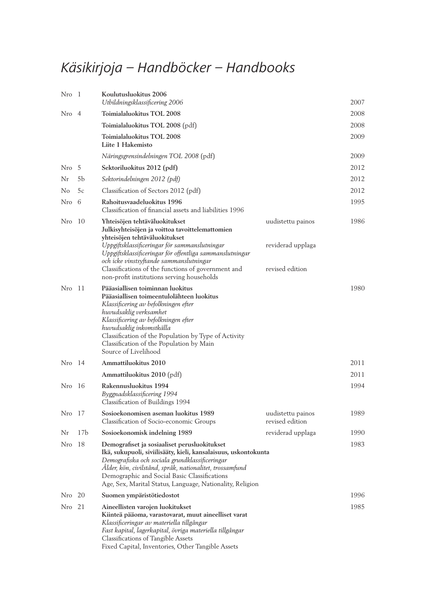## Käsikirjoja – Handböcker – Handbooks

| Nro 1       |                 | Koulutusluokitus 2006<br>Utbildningsklassificering 2006                                                                                                                                                                                                                                                                                         |                                      | 2007 |
|-------------|-----------------|-------------------------------------------------------------------------------------------------------------------------------------------------------------------------------------------------------------------------------------------------------------------------------------------------------------------------------------------------|--------------------------------------|------|
| Nro 4       |                 | Toimialaluokitus TOL 2008                                                                                                                                                                                                                                                                                                                       |                                      | 2008 |
|             |                 | Toimialaluokitus TOL 2008 (pdf)                                                                                                                                                                                                                                                                                                                 |                                      | 2008 |
|             |                 | Toimialaluokitus TOL 2008<br>Liite 1 Hakemisto                                                                                                                                                                                                                                                                                                  |                                      | 2009 |
|             |                 | Näringsgrensindelningen TOL 2008 (pdf)                                                                                                                                                                                                                                                                                                          |                                      | 2009 |
| Nro 5       |                 | Sektoriluokitus 2012 (pdf)                                                                                                                                                                                                                                                                                                                      |                                      | 2012 |
| Nr          | 5b              | Sektorindelningen 2012 (pdf)                                                                                                                                                                                                                                                                                                                    |                                      | 2012 |
| No          | 5c              | Classification of Sectors 2012 (pdf)                                                                                                                                                                                                                                                                                                            |                                      | 2012 |
| Nro 6       |                 | Rahoitusvaadeluokitus 1996<br>Classification of financial assets and liabilities 1996                                                                                                                                                                                                                                                           |                                      | 1995 |
| Nro 10      |                 | Yhteisöjen tehtäväluokitukset<br>Julkisyhteisöjen ja voittoa tavoittelemattomien<br>yhteisöjen tehtäväluokitukset                                                                                                                                                                                                                               | uudistettu painos                    | 1986 |
|             |                 | Uppgiftsklassificeringar för sammanslutningar<br>Uppgiftsklassificeringar för offentliga sammanslutningar<br>och icke vinstsyftande sammanslutningar                                                                                                                                                                                            | reviderad upplaga                    |      |
|             |                 | Classifications of the functions of government and<br>non-profit institutions serving households                                                                                                                                                                                                                                                | revised edition                      |      |
| Nro 11      |                 | Pääasiallisen toiminnan luokitus<br>Pääasiallisen toimeentulolähteen luokitus<br>Klassificering av befolkningen efter<br>huvudsaklig verksamhet<br>Klassificering av befolkningen efter<br>huvudsaklig inkomstkälla<br>Classification of the Population by Type of Activity<br>Classification of the Population by Main<br>Source of Livelihood |                                      | 1980 |
| $N_{ro}$ 14 |                 | Ammattiluokitus 2010                                                                                                                                                                                                                                                                                                                            |                                      | 2011 |
|             |                 | Ammattiluokitus 2010 (pdf)                                                                                                                                                                                                                                                                                                                      |                                      | 2011 |
| Nro 16      |                 | Rakennusluokitus 1994<br>Byggnadsklassificering 1994<br>Classification of Buildings 1994                                                                                                                                                                                                                                                        |                                      | 1994 |
| Nro         | 17              | Sosioekonomisen aseman luokitus 1989<br>Classification of Socio-economic Groups                                                                                                                                                                                                                                                                 | uudistettu painos<br>revised edition | 1989 |
| Nr          | 17 <sub>b</sub> | Sosioekonomisk indelning 1989                                                                                                                                                                                                                                                                                                                   | reviderad upplaga                    | 1990 |
| Nro         | -18             | Demografiset ja sosiaaliset perusluokitukset<br>Ikä, sukupuoli, siviilisääty, kieli, kansalaisuus, uskontokunta<br>Demografiska och sociala grundklassificeringar<br>Ålder, kön, civilstånd, språk, nationalitet, trossamfund<br>Demographic and Social Basic Classifications<br>Age, Sex, Marital Status, Language, Nationality, Religion      |                                      | 1983 |
| Nro 20      |                 | Suomen ympäristötiedostot                                                                                                                                                                                                                                                                                                                       |                                      | 1996 |
| Nro 21      |                 | Aineellisten varojen luokitukset<br>Kiinteä pääoma, varastovarat, muut aineelliset varat<br>Klassificeringar av materiella tillgångar<br>Fast kapital, lagerkapital, övriga materiella tillgångar<br>Classifications of Tangible Assets<br>Fixed Capital, Inventories, Other Tangible Assets                                                    |                                      | 1985 |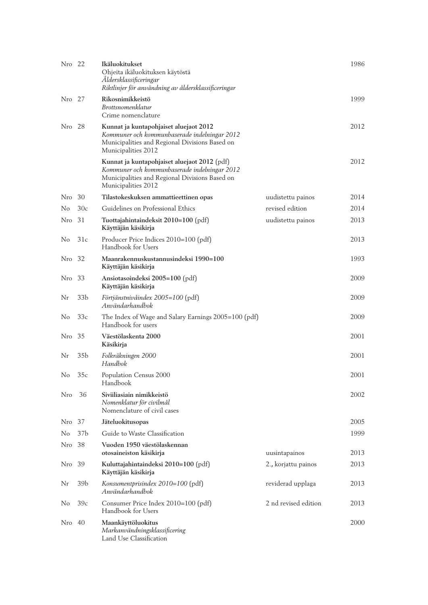| Nro 22 |                 | Ikäluokitukset<br>Ohjeita ikäluokituksen käytöstä<br>Åldersklassificeringar<br>Riktlinjer för användning av åldersklassificeringar                                    |                      | 1986 |
|--------|-----------------|-----------------------------------------------------------------------------------------------------------------------------------------------------------------------|----------------------|------|
| Nro 27 |                 | Rikosnimikkeistö<br><i>Brottsnomenklatur</i><br>Crime nomenclature                                                                                                    |                      | 1999 |
| Nro 28 |                 | Kunnat ja kuntapohjaiset aluejaot 2012<br>Kommuner och kommunbaserade indelningar 2012<br>Municipalities and Regional Divisions Based on<br>Municipalities 2012       |                      | 2012 |
|        |                 | Kunnat ja kuntapohjaiset aluejaot 2012 (pdf)<br>Kommuner och kommunbaserade indelningar 2012<br>Municipalities and Regional Divisions Based on<br>Municipalities 2012 |                      | 2012 |
| Nro    | 30              | Tilastokeskuksen ammattieettinen opas                                                                                                                                 | uudistettu painos    | 2014 |
| No     | 30c             | Guidelines on Professional Ethics                                                                                                                                     | revised edition      | 2014 |
| Nro    | 31              | Tuottajahintaindeksit 2010=100 (pdf)<br>Käyttäjän käsikirja                                                                                                           | uudistettu painos    | 2013 |
| No     | 31c             | Producer Price Indices 2010=100 (pdf)<br>Handbook for Users                                                                                                           |                      | 2013 |
| Nro 32 |                 | Maanrakennuskustannusindeksi 1990=100<br>Käyttäjän käsikirja                                                                                                          |                      | 1993 |
| Nro    | -33             | Ansiotasoindeksi 2005=100 (pdf)<br>Käyttäjän käsikirja                                                                                                                |                      | 2009 |
| Nr     | 33 <sub>b</sub> | Förtjänstnivåindex 2005=100 (pdf)<br>Användarhandbok                                                                                                                  |                      | 2009 |
| No     | 33c             | The Index of Wage and Salary Earnings 2005=100 (pdf)<br>Handbook for users                                                                                            |                      | 2009 |
| Nro 35 |                 | Väestölaskenta 2000<br>Käsikirja                                                                                                                                      |                      | 2001 |
| Nr     | 35b             | Folkräkningen 2000<br>Handbok                                                                                                                                         |                      | 2001 |
| No     | 35c             | Population Census 2000<br>Handbook                                                                                                                                    |                      | 2001 |
| Nro    | 36              | Siviiliasiain nimikkeistö<br>Nomenklatur för civilmål<br>Nomenclature of civil cases                                                                                  |                      | 2002 |
| Nro.   | 37              | Jäteluokitusopas                                                                                                                                                      |                      | 2005 |
| No     | 37b             | Guide to Waste Classification                                                                                                                                         |                      | 1999 |
| Nro 38 |                 | Vuoden 1950 väestölaskennan<br>otosaineiston käsikirja                                                                                                                | uusintapainos        | 2013 |
| Nro    | 39              | Kuluttajahintaindeksi 2010=100 (pdf)<br>Käyttäjän käsikirja                                                                                                           | 2., korjattu painos  | 2013 |
| Nr     | 39 <sub>b</sub> | Konsumentprisindex 2010=100 (pdf)<br>Användarhandbok                                                                                                                  | reviderad upplaga    | 2013 |
| No.    | 39c             | Consumer Price Index 2010=100 (pdf)<br>Handbook for Users                                                                                                             | 2 nd revised edition | 2013 |
| Nro    | 40              | Maankäyttöluokitus<br>Markanvändningsklassificering<br>Land Use Classification                                                                                        |                      | 2000 |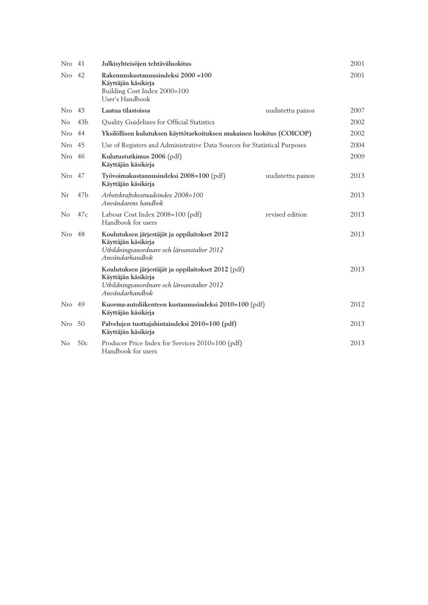| Nro 41         |                 | Julkisyhteisöjen tehtäväluokitus                                                                                                             |                   | 2001 |
|----------------|-----------------|----------------------------------------------------------------------------------------------------------------------------------------------|-------------------|------|
| Nro            | 42              | Rakennuskustannusindeksi 2000 = 100<br>Käyttäjän käsikirja<br>Building Cost Index 2000=100<br>User's Handbook                                |                   | 2001 |
| Nro 43         |                 | Laatua tilastoissa                                                                                                                           | uudistettu painos | 2007 |
| No             | 43 <sub>b</sub> | Quality Guidelines for Official Statistics                                                                                                   |                   | 2002 |
| Nro 44         |                 | Yksilöllisen kulutuksen käyttötarkoituksen mukainen luokitus (COICOP)                                                                        |                   | 2002 |
| Nro 45         |                 | Use of Registers and Administrative Data Sources for Statistical Purposes                                                                    |                   | 2004 |
| Nro 46         |                 | Kulutustutkimus 2006 (pdf)<br>Käyttäjän käsikirja                                                                                            |                   | 2009 |
| Nro 47         |                 | Työvoimakustannusindeksi 2008=100 (pdf)<br>Käyttäjän käsikirja                                                                               | uudistettu painos | 2013 |
| Nr             | 47 <sub>b</sub> | Arbetskraftskostnadsindex 2008=100<br>Användarens handbok                                                                                    |                   | 2013 |
| N <sub>0</sub> | 47c             | Labour Cost Index 2008=100 (pdf)<br>Handbook for users                                                                                       | revised edition   | 2013 |
| Nro            | 48              | Koulutuksen järjestäjät ja oppilaitokset 2012<br>Käyttäjän käsikirja<br>Utbildningsanordnare och läroanstalter 2012<br>Användarhandbok       |                   | 2013 |
|                |                 | Koulutuksen järjestäjät ja oppilaitokset 2012 (pdf)<br>Käyttäjän käsikirja<br>Utbildningsanordnare och läroanstalter 2012<br>Användarhandbok |                   | 2013 |
| Nro 49         |                 | Kuorma-autoliikenteen kustannusindeksi 2010=100 (pdf)<br>Käyttäjän käsikirja                                                                 |                   | 2012 |
| Nro 50         |                 | Palvelujen tuottajahintaindeksi 2010=100 (pdf)<br>Käyttäjän käsikirja                                                                        |                   | 2013 |
| N <sub>o</sub> | 50c             | Producer Price Index for Services 2010=100 (pdf)<br>Handbook for users                                                                       |                   | 2013 |